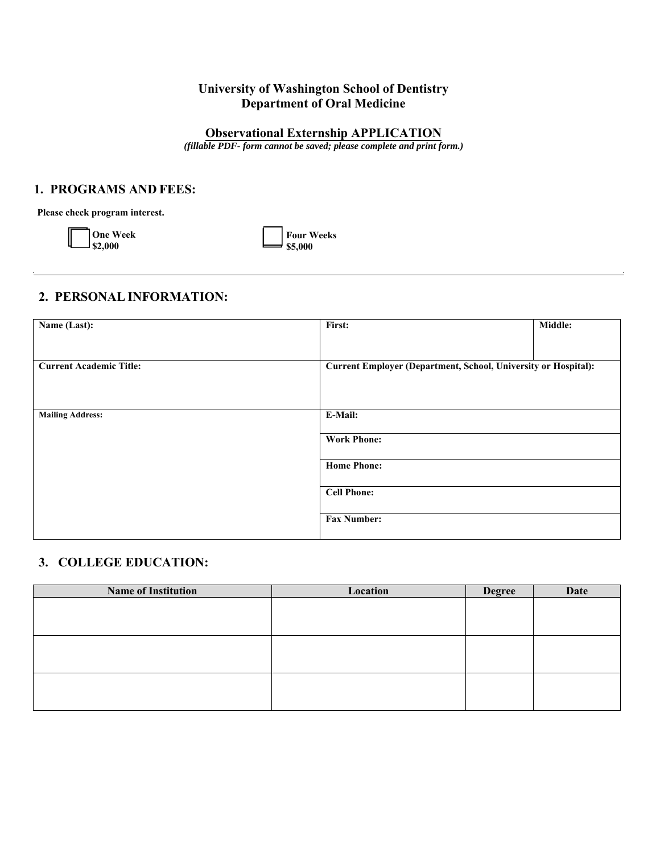## **University of Washington School of Dentistry Department of Oral Medicine**

# **Observational Externship APPLICATION**

*(fillable PDF- form cannot be saved; please complete and print form.)* 

### **1. PROGRAMS AND FEES:**

**Please check program interest.** 

| <b>One Week</b> |  |
|-----------------|--|
| $1$ \$2,000     |  |

**Four Weeks \$5,000** 

## **2. PERSONAL INFORMATION:**

| Name (Last):                   | First:                                                         | Middle: |
|--------------------------------|----------------------------------------------------------------|---------|
|                                |                                                                |         |
| <b>Current Academic Title:</b> | Current Employer (Department, School, University or Hospital): |         |
|                                |                                                                |         |
| <b>Mailing Address:</b>        | E-Mail:                                                        |         |
|                                | <b>Work Phone:</b>                                             |         |
|                                | <b>Home Phone:</b>                                             |         |
|                                | <b>Cell Phone:</b>                                             |         |
|                                | <b>Fax Number:</b>                                             |         |

## **3. COLLEGE EDUCATION:**

| <b>Name of Institution</b> | Location | <b>Degree</b> | Date |
|----------------------------|----------|---------------|------|
|                            |          |               |      |
|                            |          |               |      |
|                            |          |               |      |
|                            |          |               |      |
|                            |          |               |      |
|                            |          |               |      |
|                            |          |               |      |
|                            |          |               |      |
|                            |          |               |      |